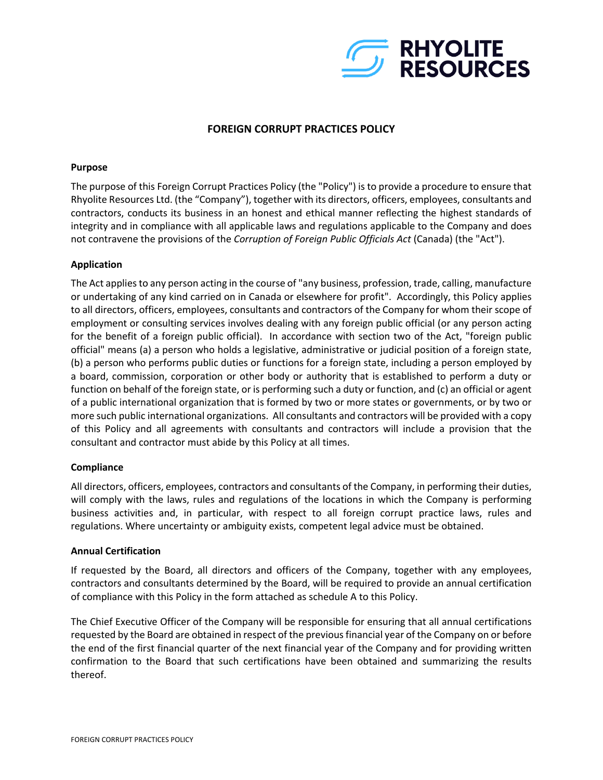

# **FOREIGN CORRUPT PRACTICES POLICY**

# **Purpose**

The purpose of this Foreign Corrupt Practices Policy (the "Policy") is to provide a procedure to ensure that Rhyolite Resources Ltd. (the "Company"), together with its directors, officers, employees, consultants and contractors, conducts its business in an honest and ethical manner reflecting the highest standards of integrity and in compliance with all applicable laws and regulations applicable to the Company and does not contravene the provisions of the *Corruption of Foreign Public Officials Act* (Canada) (the "Act").

# **Application**

The Act applies to any person acting in the course of "any business, profession, trade, calling, manufacture or undertaking of any kind carried on in Canada or elsewhere for profit". Accordingly, this Policy applies to all directors, officers, employees, consultants and contractors of the Company for whom their scope of employment or consulting services involves dealing with any foreign public official (or any person acting for the benefit of a foreign public official). In accordance with section two of the Act, "foreign public official" means (a) a person who holds a legislative, administrative or judicial position of a foreign state, (b) a person who performs public duties or functions for a foreign state, including a person employed by a board, commission, corporation or other body or authority that is established to perform a duty or function on behalf of the foreign state, or is performing such a duty or function, and (c) an official or agent of a public international organization that is formed by two or more states or governments, or by two or more such public international organizations. All consultants and contractors will be provided with a copy of this Policy and all agreements with consultants and contractors will include a provision that the consultant and contractor must abide by this Policy at all times.

## **Compliance**

All directors, officers, employees, contractors and consultants of the Company, in performing their duties, will comply with the laws, rules and regulations of the locations in which the Company is performing business activities and, in particular, with respect to all foreign corrupt practice laws, rules and regulations. Where uncertainty or ambiguity exists, competent legal advice must be obtained.

## **Annual Certification**

If requested by the Board, all directors and officers of the Company, together with any employees, contractors and consultants determined by the Board, will be required to provide an annual certification of compliance with this Policy in the form attached as schedule A to this Policy.

The Chief Executive Officer of the Company will be responsible for ensuring that all annual certifications requested by the Board are obtained in respect of the previous financial year of the Company on or before the end of the first financial quarter of the next financial year of the Company and for providing written confirmation to the Board that such certifications have been obtained and summarizing the results thereof.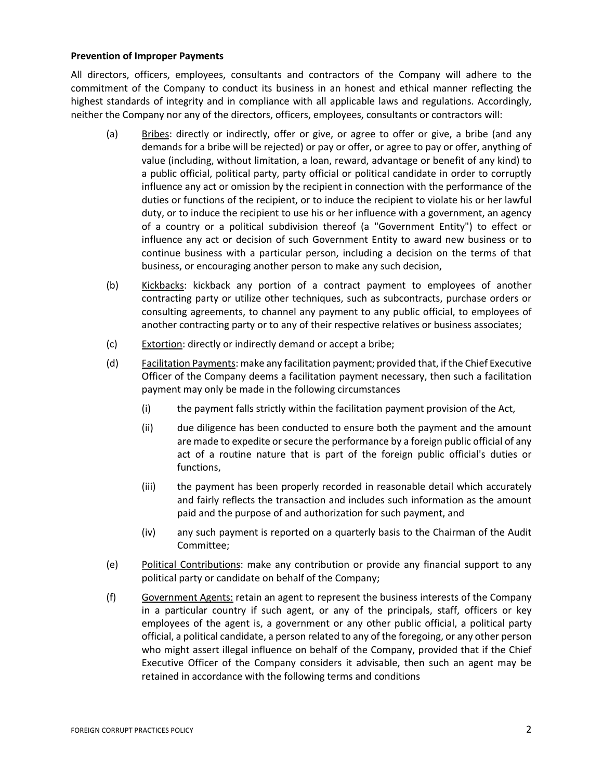# **Prevention of Improper Payments**

All directors, officers, employees, consultants and contractors of the Company will adhere to the commitment of the Company to conduct its business in an honest and ethical manner reflecting the highest standards of integrity and in compliance with all applicable laws and regulations. Accordingly, neither the Company nor any of the directors, officers, employees, consultants or contractors will:

- (a) Bribes: directly or indirectly, offer or give, or agree to offer or give, a bribe (and any demands for a bribe will be rejected) or pay or offer, or agree to pay or offer, anything of value (including, without limitation, a loan, reward, advantage or benefit of any kind) to a public official, political party, party official or political candidate in order to corruptly influence any act or omission by the recipient in connection with the performance of the duties or functions of the recipient, or to induce the recipient to violate his or her lawful duty, or to induce the recipient to use his or her influence with a government, an agency of a country or a political subdivision thereof (a "Government Entity") to effect or influence any act or decision of such Government Entity to award new business or to continue business with a particular person, including a decision on the terms of that business, or encouraging another person to make any such decision,
- (b) Kickbacks: kickback any portion of a contract payment to employees of another contracting party or utilize other techniques, such as subcontracts, purchase orders or consulting agreements, to channel any payment to any public official, to employees of another contracting party or to any of their respective relatives or business associates;
- (c) Extortion: directly or indirectly demand or accept a bribe;
- (d) Facilitation Payments: make any facilitation payment; provided that, if the Chief Executive Officer of the Company deems a facilitation payment necessary, then such a facilitation payment may only be made in the following circumstances
	- (i) the payment falls strictly within the facilitation payment provision of the Act,
	- (ii) due diligence has been conducted to ensure both the payment and the amount are made to expedite or secure the performance by a foreign public official of any act of a routine nature that is part of the foreign public official's duties or functions,
	- (iii) the payment has been properly recorded in reasonable detail which accurately and fairly reflects the transaction and includes such information as the amount paid and the purpose of and authorization for such payment, and
	- (iv) any such payment is reported on a quarterly basis to the Chairman of the Audit Committee;
- (e) Political Contributions: make any contribution or provide any financial support to any political party or candidate on behalf of the Company;
- (f) Government Agents: retain an agent to represent the business interests of the Company in a particular country if such agent, or any of the principals, staff, officers or key employees of the agent is, a government or any other public official, a political party official, a political candidate, a person related to any of the foregoing, or any other person who might assert illegal influence on behalf of the Company, provided that if the Chief Executive Officer of the Company considers it advisable, then such an agent may be retained in accordance with the following terms and conditions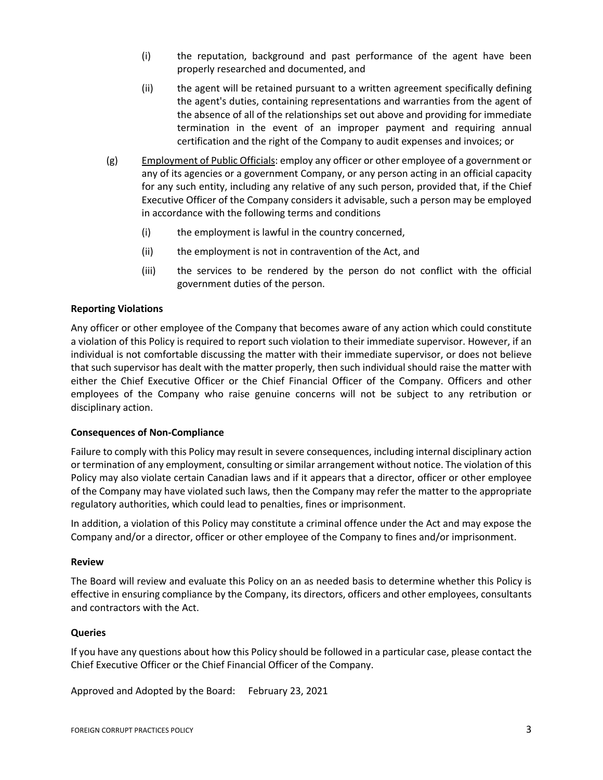- (i) the reputation, background and past performance of the agent have been properly researched and documented, and
- (ii) the agent will be retained pursuant to a written agreement specifically defining the agent's duties, containing representations and warranties from the agent of the absence of all of the relationships set out above and providing for immediate termination in the event of an improper payment and requiring annual certification and the right of the Company to audit expenses and invoices; or
- (g) Employment of Public Officials: employ any officer or other employee of a government or any of its agencies or a government Company, or any person acting in an official capacity for any such entity, including any relative of any such person, provided that, if the Chief Executive Officer of the Company considers it advisable, such a person may be employed in accordance with the following terms and conditions
	- (i) the employment is lawful in the country concerned,
	- (ii) the employment is not in contravention of the Act, and
	- (iii) the services to be rendered by the person do not conflict with the official government duties of the person.

# **Reporting Violations**

Any officer or other employee of the Company that becomes aware of any action which could constitute a violation of this Policy is required to report such violation to their immediate supervisor. However, if an individual is not comfortable discussing the matter with their immediate supervisor, or does not believe that such supervisor has dealt with the matter properly, then such individual should raise the matter with either the Chief Executive Officer or the Chief Financial Officer of the Company. Officers and other employees of the Company who raise genuine concerns will not be subject to any retribution or disciplinary action.

## **Consequences of Non-Compliance**

Failure to comply with this Policy may result in severe consequences, including internal disciplinary action or termination of any employment, consulting or similar arrangement without notice. The violation of this Policy may also violate certain Canadian laws and if it appears that a director, officer or other employee of the Company may have violated such laws, then the Company may refer the matter to the appropriate regulatory authorities, which could lead to penalties, fines or imprisonment.

In addition, a violation of this Policy may constitute a criminal offence under the Act and may expose the Company and/or a director, officer or other employee of the Company to fines and/or imprisonment.

#### **Review**

The Board will review and evaluate this Policy on an as needed basis to determine whether this Policy is effective in ensuring compliance by the Company, its directors, officers and other employees, consultants and contractors with the Act.

## **Queries**

If you have any questions about how this Policy should be followed in a particular case, please contact the Chief Executive Officer or the Chief Financial Officer of the Company.

Approved and Adopted by the Board: February 23, 2021